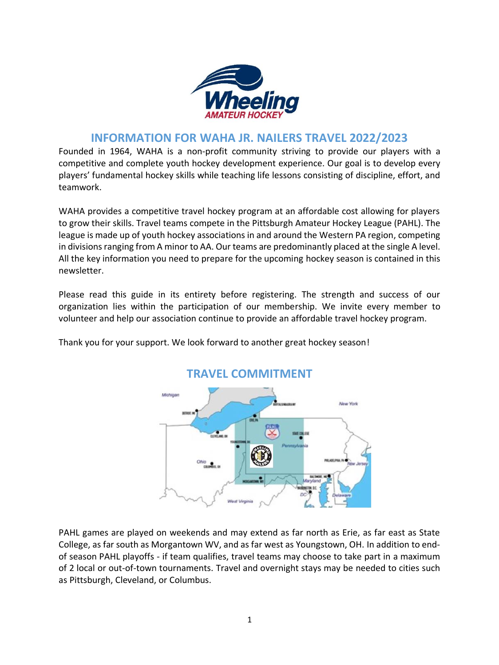

## **INFORMATION FOR WAHA JR. NAILERS TRAVEL 2022/2023**

Founded in 1964, WAHA is a non-profit community striving to provide our players with a competitive and complete youth hockey development experience. Our goal is to develop every players' fundamental hockey skills while teaching life lessons consisting of discipline, effort, and teamwork.

WAHA provides a competitive travel hockey program at an affordable cost allowing for players to grow their skills. Travel teams compete in the Pittsburgh Amateur Hockey League (PAHL). The league is made up of youth hockey associations in and around the Western PA region, competing in divisions ranging from A minor to AA. Our teams are predominantly placed at the single A level. All the key information you need to prepare for the upcoming hockey season is contained in this newsletter.

Please read this guide in its entirety before registering. The strength and success of our organization lies within the participation of our membership. We invite every member to volunteer and help our association continue to provide an affordable travel hockey program.



Thank you for your support. We look forward to another great hockey season!

PAHL games are played on weekends and may extend as far north as Erie, as far east as State College, as far south as Morgantown WV, and as far west as Youngstown, OH. In addition to endof season PAHL playoffs - if team qualifies, travel teams may choose to take part in a maximum of 2 local or out-of-town tournaments. Travel and overnight stays may be needed to cities such as Pittsburgh, Cleveland, or Columbus.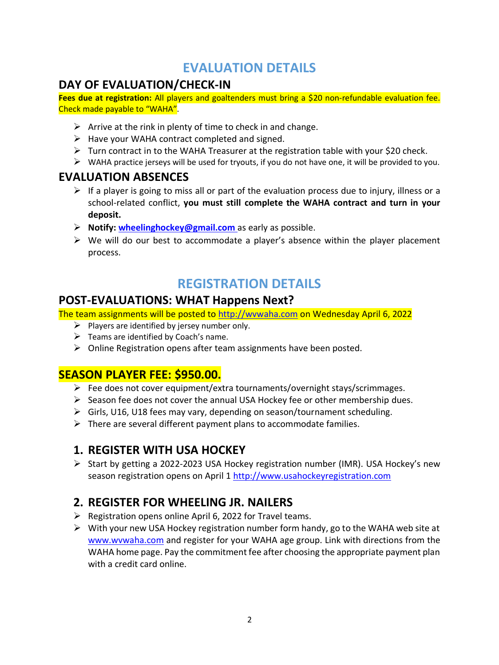# **EVALUATION DETAILS**

# **DAY OF EVALUATION/CHECK-IN**

**Fees due at registration:** All players and goaltenders must bring a \$20 non-refundable evaluation fee. Check made payable to "WAHA".

- $\triangleright$  Arrive at the rink in plenty of time to check in and change.
- $\triangleright$  Have your WAHA contract completed and signed.
- ➢ Turn contract in to the WAHA Treasurer at the registration table with your \$20 check.
- ➢ WAHA practice jerseys will be used for tryouts, if you do not have one, it will be provided to you.

## **EVALUATION ABSENCES**

- $\triangleright$  If a player is going to miss all or part of the evaluation process due to injury, illness or a school-related conflict, **you must still complete the WAHA contract and turn in your deposit.**
- ➢ **Notify: [wheelinghockey@gmail.com](mailto:wheelinghockey@gmail.com)** as early as possible.
- ➢ We will do our best to accommodate a player's absence within the player placement process.

# **REGISTRATION DETAILS**

## **POST-EVALUATIONS: WHAT Happens Next?**

The team assignments will be posted to [http://wvwaha.com](http://wvwaha.com/) on Wednesday April 6, 2022

- $\triangleright$  Players are identified by jersey number only.
- $\triangleright$  Teams are identified by Coach's name.
- ➢ Online Registration opens after team assignments have been posted.

## **SEASON PLAYER FEE: \$950.00.**

- ➢ Fee does not cover equipment/extra tournaments/overnight stays/scrimmages.
- $\triangleright$  Season fee does not cover the annual USA Hockey fee or other membership dues.
- ➢ Girls, U16, U18 fees may vary, depending on season/tournament scheduling.
- $\triangleright$  There are several different payment plans to accommodate families.

## **1. REGISTER WITH USA HOCKEY**

➢ Start by getting a 2022-2023 USA Hockey registration number (IMR). USA Hockey's new season registration opens on April 1 [http://www.usahockeyregistration.com](http://www.usahockeyregistration.com/)

# **2. REGISTER FOR WHEELING JR. NAILERS**

- $\triangleright$  Registration opens online April 6, 2022 for Travel teams.
- $\triangleright$  With your new USA Hockey registration number form handy, go to the WAHA web site at [www.wvwaha.com](http://www.wvwaha.com.prod.sportngin.com/) and register for your WAHA age group. Link with directions from the WAHA home page. Pay the commitment fee after choosing the appropriate payment plan with a credit card online.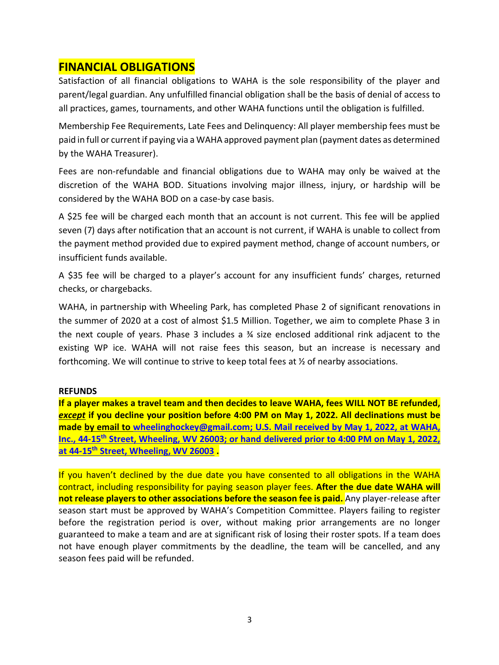## **FINANCIAL OBLIGATIONS**

Satisfaction of all financial obligations to WAHA is the sole responsibility of the player and parent/legal guardian. Any unfulfilled financial obligation shall be the basis of denial of access to all practices, games, tournaments, and other WAHA functions until the obligation is fulfilled.

Membership Fee Requirements, Late Fees and Delinquency: All player membership fees must be paid in full or current if paying via a WAHA approved payment plan (payment dates as determined by the WAHA Treasurer).

Fees are non-refundable and financial obligations due to WAHA may only be waived at the discretion of the WAHA BOD. Situations involving major illness, injury, or hardship will be considered by the WAHA BOD on a case-by case basis.

A \$25 fee will be charged each month that an account is not current. This fee will be applied seven (7) days after notification that an account is not current, if WAHA is unable to collect from the payment method provided due to expired payment method, change of account numbers, or insufficient funds available.

A \$35 fee will be charged to a player's account for any insufficient funds' charges, returned checks, or chargebacks.

WAHA, in partnership with Wheeling Park, has completed Phase 2 of significant renovations in the summer of 2020 at a cost of almost \$1.5 Million. Together, we aim to complete Phase 3 in the next couple of years. Phase 3 includes a  $\frac{3}{4}$  size enclosed additional rink adjacent to the existing WP ice. WAHA will not raise fees this season, but an increase is necessary and forthcoming. We will continue to strive to keep total fees at ½ of nearby associations.

#### **REFUNDS**

**If a player makes a travel team and then decides to leave WAHA, fees WILL NOT BE refunded,**  *except* **if you decline your position before 4:00 PM on May 1, 2022. All declinations must be made by email to [wheelinghockey@gmail.com;](mailto:wheelinghockey@gmail.com) U.S. Mail received by May 1, 2022, at WAHA, Inc., 44-15th Street, Wheeling, WV 26003; or hand delivered prior to 4:00 PM on May 1, 2022, at 44-15th Street, Wheeling, WV 26003 .**

If you haven't declined by the due date you have consented to all obligations in the WAHA contract, including responsibility for paying season player fees. **After the due date WAHA will not release players to other associations before the season fee is paid.** Any player-release after season start must be approved by WAHA's Competition Committee. Players failing to register before the registration period is over, without making prior arrangements are no longer guaranteed to make a team and are at significant risk of losing their roster spots. If a team does not have enough player commitments by the deadline, the team will be cancelled, and any season fees paid will be refunded.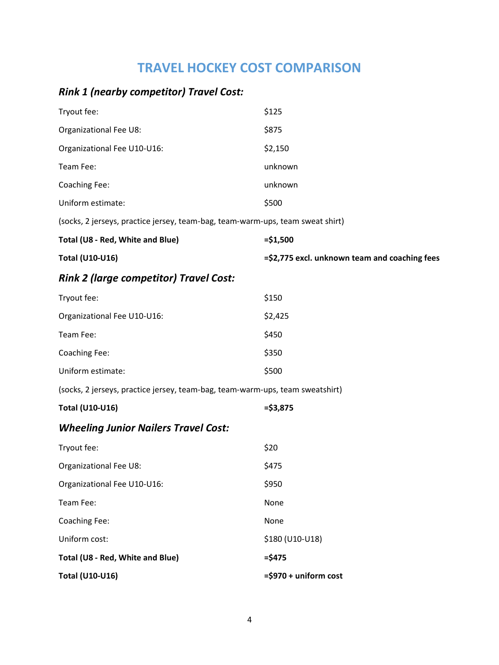# **TRAVEL HOCKEY COST COMPARISON**

## *Rink 1 (nearby competitor) Travel Cost:*

| $\cdots$ $\cdots$                                                              |                                               |  |
|--------------------------------------------------------------------------------|-----------------------------------------------|--|
| <b>Total (U10-U16)</b>                                                         | =\$2,775 excl. unknown team and coaching fees |  |
| Total (U8 - Red, White and Blue)                                               | $= $1,500$                                    |  |
| (socks, 2 jerseys, practice jersey, team-bag, team-warm-ups, team sweat shirt) |                                               |  |
| Uniform estimate:                                                              | \$500                                         |  |
| Coaching Fee:                                                                  | unknown                                       |  |
| Team Fee:                                                                      | unknown                                       |  |
| Organizational Fee U10-U16:                                                    | \$2,150                                       |  |
| Organizational Fee U8:                                                         | \$875                                         |  |
| Tryout fee:                                                                    | \$125                                         |  |

## *Rink 2 (large competitor) Travel Cost:*

| Tryout fee:                 | \$150   |
|-----------------------------|---------|
| Organizational Fee U10-U16: | \$2,425 |
| Team Fee:                   | \$450   |
| Coaching Fee:               | \$350   |
| Uniform estimate:           | \$500   |

(socks, 2 jerseys, practice jersey, team-bag, team-warm-ups, team sweatshirt)

| Total (U10-U16) | $= $3,875$ |
|-----------------|------------|
|                 |            |

## *Wheeling Junior Nailers Travel Cost:*

| Total (U10-U16)                  | $=$ \$970 + uniform cost |
|----------------------------------|--------------------------|
| Total (U8 - Red, White and Blue) | $=$ \$475                |
| Uniform cost:                    | \$180 (U10-U18)          |
| Coaching Fee:                    | None                     |
| Team Fee:                        | None                     |
| Organizational Fee U10-U16:      | \$950                    |
| Organizational Fee U8:           | \$475                    |
| Tryout fee:                      | \$20                     |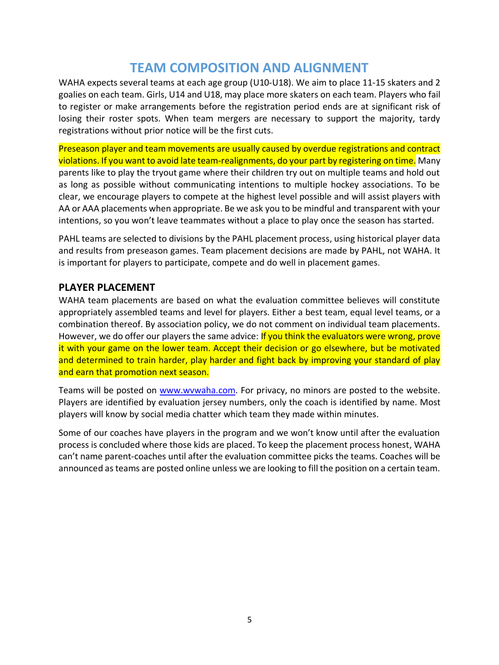# **TEAM COMPOSITION AND ALIGNMENT**

WAHA expects several teams at each age group (U10-U18). We aim to place 11-15 skaters and 2 goalies on each team. Girls, U14 and U18, may place more skaters on each team. Players who fail to register or make arrangements before the registration period ends are at significant risk of losing their roster spots. When team mergers are necessary to support the majority, tardy registrations without prior notice will be the first cuts.

Preseason player and team movements are usually caused by overdue registrations and contract violations. If you want to avoid late team-realignments, do your part by registering on time. Many parents like to play the tryout game where their children try out on multiple teams and hold out as long as possible without communicating intentions to multiple hockey associations. To be clear, we encourage players to compete at the highest level possible and will assist players with AA or AAA placements when appropriate. Be we ask you to be mindful and transparent with your intentions, so you won't leave teammates without a place to play once the season has started.

PAHL teams are selected to divisions by the PAHL placement process, using historical player data and results from preseason games. Team placement decisions are made by PAHL, not WAHA. It is important for players to participate, compete and do well in placement games.

## **PLAYER PLACEMENT**

WAHA team placements are based on what the evaluation committee believes will constitute appropriately assembled teams and level for players. Either a best team, equal level teams, or a combination thereof. By association policy, we do not comment on individual team placements. However, we do offer our players the same advice: If you think the evaluators were wrong, prove it with your game on the lower team. Accept their decision or go elsewhere, but be motivated and determined to train harder, play harder and fight back by improving your standard of play and earn that promotion next season.

Teams will be posted on [www.wvwaha.com.](http://www.wvwaha.com/) For privacy, no minors are posted to the website. Players are identified by evaluation jersey numbers, only the coach is identified by name. Most players will know by social media chatter which team they made within minutes.

Some of our coaches have players in the program and we won't know until after the evaluation process is concluded where those kids are placed. To keep the placement process honest, WAHA can't name parent-coaches until after the evaluation committee picks the teams. Coaches will be announced as teams are posted online unless we are looking to fill the position on a certain team.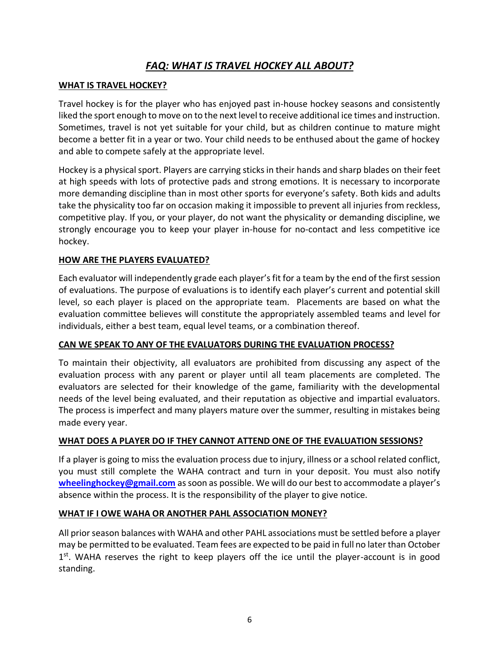## *FAQ: WHAT IS TRAVEL HOCKEY ALL ABOUT?*

#### **WHAT IS TRAVEL HOCKEY?**

Travel hockey is for the player who has enjoyed past in-house hockey seasons and consistently liked the sport enough to move on to the next level to receive additional ice times and instruction. Sometimes, travel is not yet suitable for your child, but as children continue to mature might become a better fit in a year or two. Your child needs to be enthused about the game of hockey and able to compete safely at the appropriate level.

Hockey is a physical sport. Players are carrying sticks in their hands and sharp blades on their feet at high speeds with lots of protective pads and strong emotions. It is necessary to incorporate more demanding discipline than in most other sports for everyone's safety. Both kids and adults take the physicality too far on occasion making it impossible to prevent all injuries from reckless, competitive play. If you, or your player, do not want the physicality or demanding discipline, we strongly encourage you to keep your player in-house for no-contact and less competitive ice hockey.

#### **HOW ARE THE PLAYERS EVALUATED?**

Each evaluator will independently grade each player'sfit for a team by the end of the first session of evaluations. The purpose of evaluations is to identify each player's current and potential skill level, so each player is placed on the appropriate team. Placements are based on what the evaluation committee believes will constitute the appropriately assembled teams and level for individuals, either a best team, equal level teams, or a combination thereof.

### **CAN WE SPEAK TO ANY OF THE EVALUATORS DURING THE EVALUATION PROCESS?**

To maintain their objectivity, all evaluators are prohibited from discussing any aspect of the evaluation process with any parent or player until all team placements are completed. The evaluators are selected for their knowledge of the game, familiarity with the developmental needs of the level being evaluated, and their reputation as objective and impartial evaluators. The process is imperfect and many players mature over the summer, resulting in mistakes being made every year.

#### **WHAT DOES A PLAYER DO IF THEY CANNOT ATTEND ONE OF THE EVALUATION SESSIONS?**

If a player is going to miss the evaluation process due to injury, illness or a school related conflict, you must still complete the WAHA contract and turn in your deposit. You must also notify **[wheelinghockey@gmail.com](mailto:wheelinghockey@gmail.com)** as soon as possible. We will do our best to accommodate a player's absence within the process. It is the responsibility of the player to give notice.

#### **WHAT IF I OWE WAHA OR ANOTHER PAHL ASSOCIATION MONEY?**

All prior season balances with WAHA and other PAHL associations must be settled before a player may be permitted to be evaluated. Team fees are expected to be paid in full no later than October 1<sup>st</sup>. WAHA reserves the right to keep players off the ice until the player-account is in good standing.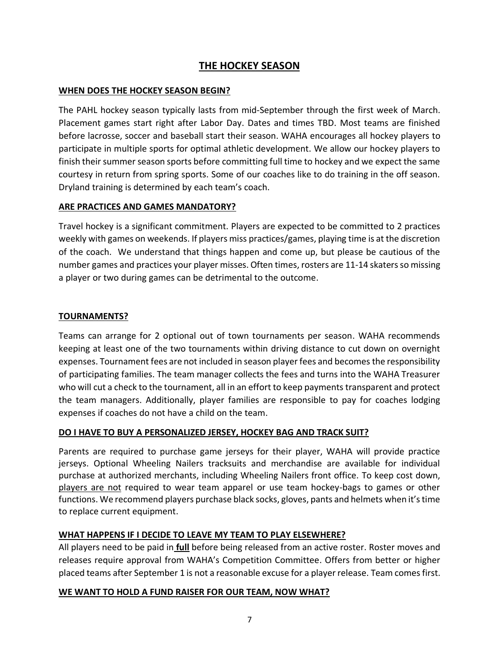## **THE HOCKEY SEASON**

#### **WHEN DOES THE HOCKEY SEASON BEGIN?**

The PAHL hockey season typically lasts from mid-September through the first week of March. Placement games start right after Labor Day. Dates and times TBD. Most teams are finished before lacrosse, soccer and baseball start their season. WAHA encourages all hockey players to participate in multiple sports for optimal athletic development. We allow our hockey players to finish their summer season sports before committing full time to hockey and we expect the same courtesy in return from spring sports. Some of our coaches like to do training in the off season. Dryland training is determined by each team's coach.

### **ARE PRACTICES AND GAMES MANDATORY?**

Travel hockey is a significant commitment. Players are expected to be committed to 2 practices weekly with games on weekends. If players miss practices/games, playing time is at the discretion of the coach. We understand that things happen and come up, but please be cautious of the number games and practices your player misses. Often times, rosters are 11-14 skaters so missing a player or two during games can be detrimental to the outcome.

#### **TOURNAMENTS?**

Teams can arrange for 2 optional out of town tournaments per season. WAHA recommends keeping at least one of the two tournaments within driving distance to cut down on overnight expenses. Tournament fees are not included in season player fees and becomes the responsibility of participating families. The team manager collects the fees and turns into the WAHA Treasurer who will cut a check to the tournament, all in an effort to keep payments transparent and protect the team managers. Additionally, player families are responsible to pay for coaches lodging expenses if coaches do not have a child on the team.

### **DO I HAVE TO BUY A PERSONALIZED JERSEY, HOCKEY BAG AND TRACK SUIT?**

Parents are required to purchase game jerseys for their player, WAHA will provide practice jerseys. Optional Wheeling Nailers tracksuits and merchandise are available for individual purchase at authorized merchants, including Wheeling Nailers front office. To keep cost down, players are not required to wear team apparel or use team hockey-bags to games or other functions. We recommend players purchase black socks, gloves, pants and helmets when it's time to replace current equipment.

### **WHAT HAPPENS IF I DECIDE TO LEAVE MY TEAM TO PLAY ELSEWHERE?**

All players need to be paid in **full** before being released from an active roster. Roster moves and releases require approval from WAHA's Competition Committee. Offers from better or higher placed teams after September 1 is not a reasonable excuse for a player release. Team comes first.

### **WE WANT TO HOLD A FUND RAISER FOR OUR TEAM, NOW WHAT?**